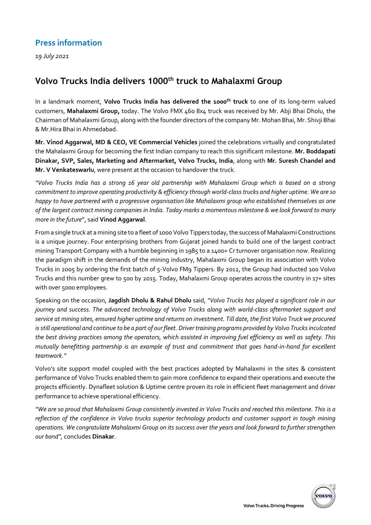## **Press information**

*19 July 2021*

## **Volvo Trucks India delivers 1000th truck to Mahalaxmi Group**

In a landmark moment, **Volvo Trucks India has delivered the 1000th truck** to one of its long-term valued customers, **Mahalaxmi Group,** today. The Volvo FMX 460 8x4 truck was received by Mr. Abji Bhai Dholu, the Chairman of Mahalaxmi Group, along with the founder directors of the company Mr. Mohan Bhai, Mr. Shivji Bhai & Mr.Hira Bhai in Ahmedabad.

**Mr. Vinod Aggarwal, MD & CEO, VE Commercial Vehicles** joined the celebrations virtually and congratulated the Mahalaxmi Group for becoming the first Indian company to reach this significant milestone. **Mr. Boddapati Dinakar, SVP, Sales, Marketing and Aftermarket, Volvo Trucks, India**, along with **Mr. Suresh Chandel and Mr. V Venkateswarlu**, were present at the occasion to handover the truck.

*"Volvo Trucks India has a strong 16 year old partnership with Mahalaxmi Group which is based on a strong commitment to improve operating productivity & efficiency through world-class trucks and higher uptime. We are so happy to have partnered with a progressive organisation like Mahalaxmi group who established themselves as one of the largest contract mining companies in India. Today marks a momentous milestone & we look forward to many more in the future*", said **Vinod Aggarwal**.

From a single truck at a mining site to a fleet of 1000 Volvo Tippers today, the success of Mahalaxmi Constructions is a unique journey. Four enterprising brothers from Gujarat joined hands to build one of the largest contract mining Transport Company with a humble beginning in 1985 to a 1400+ Cr turnover organisation now. Realizing the paradigm shift in the demands of the mining industry, Mahalaxmi Group began its association with Volvo Trucks in 2005 by ordering the first batch of 5-Volvo FM9 Tippers. By 2012, the Group had inducted 100 Volvo Trucks and this number grew to 500 by 2015. Today, Mahalaxmi Group operates across the country in 17+ sites with over 5000 employees.

Speaking on the occasion, **Jagdish Dholu & Rahul Dholu** said, *"Volvo Trucks has played a significant role in our journey and success. The advanced technology of Volvo Trucks along with world-class aftermarket support and service at mining sites, ensured higher uptime and returns on investment. Till date, the first Volvo Truck we procured is still operational and continue to be a part of our fleet. Driver training programs provided by Volvo Trucks inculcated the best driving practices among the operators, which assisted in improving fuel efficiency as well as safety. This mutually benefitting partnership is an example of trust and commitment that goes hand-in-hand for excellent teamwork*.*"*

Volvo's site support model coupled with the best practices adopted by Mahalaxmi in the sites & consistent performance of Volvo Trucks enabled them to gain more confidence to expand their operations and execute the projects efficiently. Dynafleet solution & Uptime centre proven its role in efficient fleet management and driver performance to achieve operational efficiency.

*"We are so proud that Mahalaxmi Group consistently invested in Volvo Trucks and reached this milestone. This is a reflection of the confidence in Volvo trucks superior technology products and customer support in tough mining operations. We congratulate Mahalaxmi Group on its success over the years and look forward to further strengthen our bond",* concludes **Dinakar**.